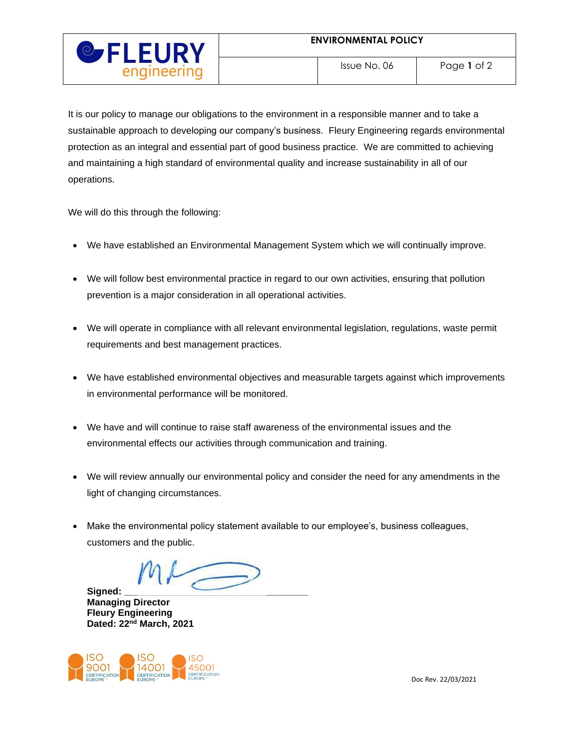

It is our policy to manage our obligations to the environment in a responsible manner and to take a sustainable approach to developing our company's business. Fleury Engineering regards environmental protection as an integral and essential part of good business practice. We are committed to achieving and maintaining a high standard of environmental quality and increase sustainability in all of our operations.

We will do this through the following:

- We have established an Environmental Management System which we will continually improve.
- We will follow best environmental practice in regard to our own activities, ensuring that pollution prevention is a major consideration in all operational activities.
- We will operate in compliance with all relevant environmental legislation, regulations, waste permit requirements and best management practices.
- We have established environmental objectives and measurable targets against which improvements in environmental performance will be monitored.
- We have and will continue to raise staff awareness of the environmental issues and the environmental effects our activities through communication and training.
- We will review annually our environmental policy and consider the need for any amendments in the light of changing circumstances.
- Make the environmental policy statement available to our employee's, business colleagues, customers and the public.

Signed: **Managing Director Fleury Engineering Dated: 22 nd March, 2021**



Doc Rev. 22/03/2021